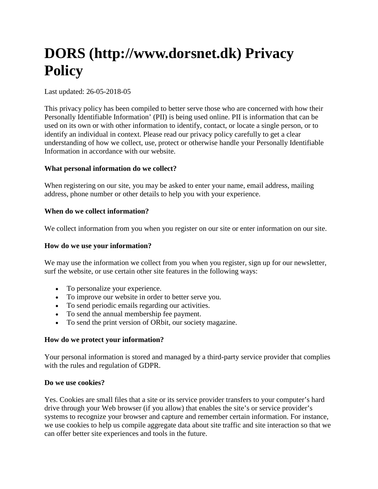# **DORS (http://www.dorsnet.dk) Privacy Policy**

## Last updated: 26-05-2018-05

This privacy policy has been compiled to better serve those who are concerned with how their Personally Identifiable Information' (PII) is being used online. PII is information that can be used on its own or with other information to identify, contact, or locate a single person, or to identify an individual in context. Please read our privacy policy carefully to get a clear understanding of how we collect, use, protect or otherwise handle your Personally Identifiable Information in accordance with our website.

## **What personal information do we collect?**

When registering on our site, you may be asked to enter your name, email address, mailing address, phone number or other details to help you with your experience.

## **When do we collect information?**

We collect information from you when you register on our site or enter information on our site.

#### **How do we use your information?**

We may use the information we collect from you when you register, sign up for our newsletter, surf the website, or use certain other site features in the following ways:

- To personalize your experience.
- To improve our website in order to better serve you.
- To send periodic emails regarding our activities.
- To send the annual membership fee payment.
- To send the print version of ORbit, our society magazine.

#### **How do we protect your information?**

Your personal information is stored and managed by a third-party service provider that complies with the rules and regulation of GDPR.

#### **Do we use cookies?**

Yes. Cookies are small files that a site or its service provider transfers to your computer's hard drive through your Web browser (if you allow) that enables the site's or service provider's systems to recognize your browser and capture and remember certain information. For instance, we use cookies to help us compile aggregate data about site traffic and site interaction so that we can offer better site experiences and tools in the future.